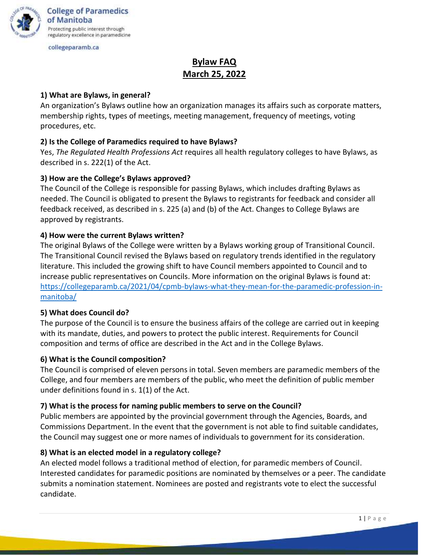

**College of Paramedics** of Manitoba Protecting public interest through regulatory excellence in paramedicine

collegeparamb.ca

# **Bylaw FAQ March 25, 2022**

## **1) What are Bylaws, in general?**

An organization's Bylaws outline how an organization manages its affairs such as corporate matters, membership rights, types of meetings, meeting management, frequency of meetings, voting procedures, etc.

## **2) Is the College of Paramedics required to have Bylaws?**

Yes, *The Regulated Health Professions Act* requires all health regulatory colleges to have Bylaws, as described in s. 222(1) of the Act.

## **3) How are the College's Bylaws approved?**

The Council of the College is responsible for passing Bylaws, which includes drafting Bylaws as needed. The Council is obligated to present the Bylaws to registrants for feedback and consider all feedback received, as described in s. 225 (a) and (b) of the Act. Changes to College Bylaws are approved by registrants.

## **4) How were the current Bylaws written?**

The original Bylaws of the College were written by a Bylaws working group of Transitional Council. The Transitional Council revised the Bylaws based on regulatory trends identified in the regulatory literature. This included the growing shift to have Council members appointed to Council and to increase public representatives on Councils. More information on the original Bylaws is found at: [https://collegeparamb.ca/2021/04/cpmb-bylaws-what-they-mean-for-the-paramedic-profession-in](https://collegeparamb.ca/2021/04/cpmb-bylaws-what-they-mean-for-the-paramedic-profession-in-manitoba/)[manitoba/](https://collegeparamb.ca/2021/04/cpmb-bylaws-what-they-mean-for-the-paramedic-profession-in-manitoba/)

## **5) What does Council do?**

The purpose of the Council is to ensure the business affairs of the college are carried out in keeping with its mandate, duties, and powers to protect the public interest. Requirements for Council composition and terms of office are described in the Act and in the College Bylaws.

#### **6) What is the Council composition?**

The Council is comprised of eleven persons in total. Seven members are paramedic members of the College, and four members are members of the public, who meet the definition of public member under definitions found in s. 1(1) of the Act.

#### **7) What is the process for naming public members to serve on the Council?**

Public members are appointed by the provincial government through the Agencies, Boards, and Commissions Department. In the event that the government is not able to find suitable candidates, the Council may suggest one or more names of individuals to government for its consideration.

#### **8) What is an elected model in a regulatory college?**

An elected model follows a traditional method of election, for paramedic members of Council. Interested candidates for paramedic positions are nominated by themselves or a peer. The candidate submits a nomination statement. Nominees are posted and registrants vote to elect the successful candidate.